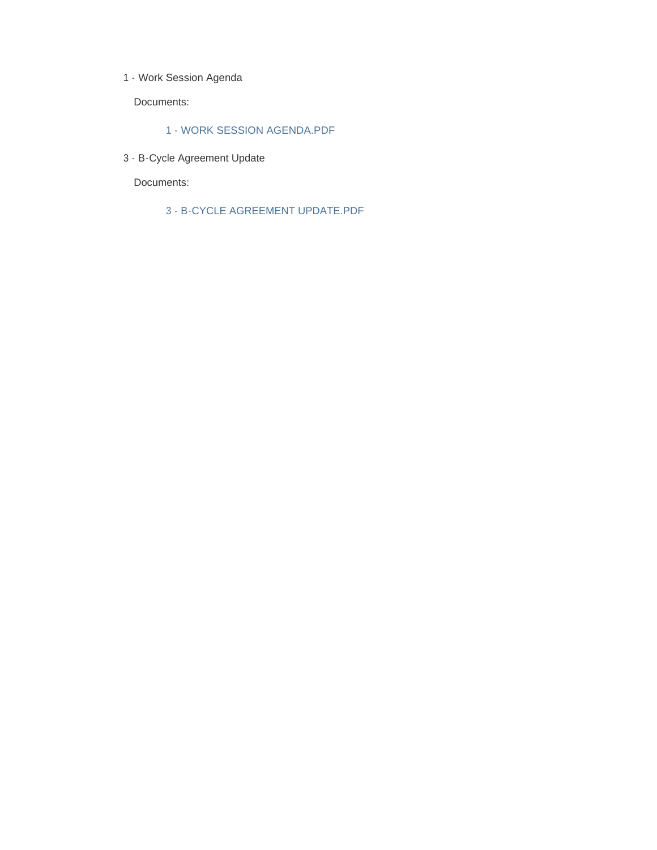1 - Work Session Agenda

Documents:

#### 1 - WORK SESSION AGENDA.PDF

3 - B-Cycle Agreement Update

Documents:

3 - B-CYCLE AGREEMENT UPDATE.PDF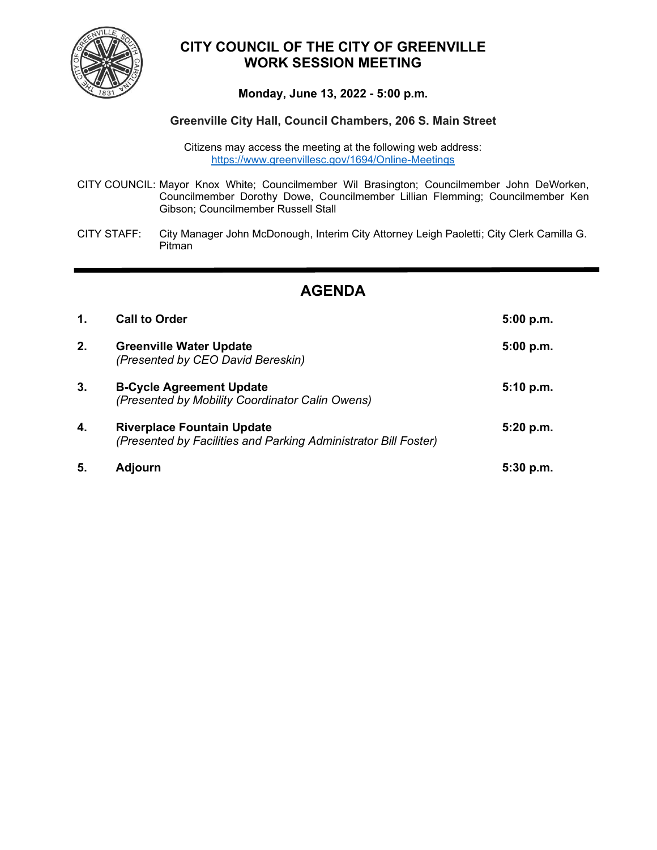

## **CITY COUNCIL OF THE CITY OF GREENVILLE WORK SESSION MEETING**

### **Monday, June 13, 2022 - 5:00 p.m.**

#### **Greenville City Hall, Council Chambers, 206 S. Main Street**

Citizens may access the meeting at the following web address: <https://www.greenvillesc.gov/1694/Online-Meetings>

- CITY COUNCIL: Mayor Knox White; Councilmember Wil Brasington; Councilmember John DeWorken, Councilmember Dorothy Dowe, Councilmember Lillian Flemming; Councilmember Ken Gibson; Councilmember Russell Stall
- CITY STAFF: City Manager John McDonough, Interim City Attorney Leigh Paoletti; City Clerk Camilla G. Pitman

## **AGENDA**

| 1. | <b>Call to Order</b>                                                                                 | 5:00 p.m.   |
|----|------------------------------------------------------------------------------------------------------|-------------|
| 2. | <b>Greenville Water Update</b><br>(Presented by CEO David Bereskin)                                  | 5:00 p.m.   |
| 3. | <b>B-Cycle Agreement Update</b><br>(Presented by Mobility Coordinator Calin Owens)                   | 5:10 p.m.   |
| 4. | <b>Riverplace Fountain Update</b><br>(Presented by Facilities and Parking Administrator Bill Foster) | 5:20 p.m.   |
| 5. | Adjourn                                                                                              | $5:30$ p.m. |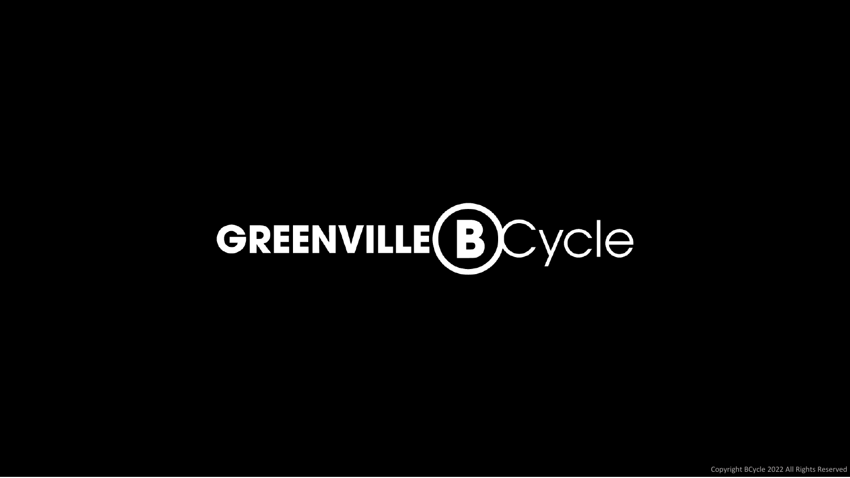

Copyright BCycle 2022 All Rights Reserved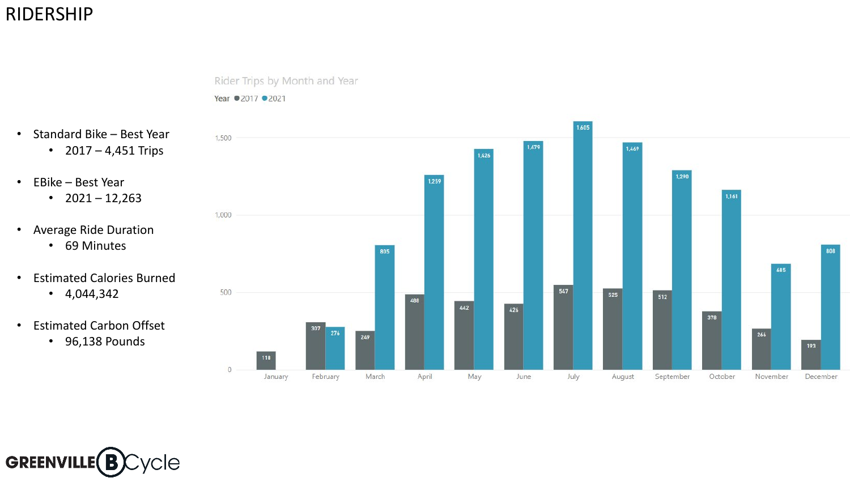- Standard Bike Best Year
	- 2017 4,451 Trips
- EBike Best Year
	- $2021 12,263$
- Average Ride Duration
	- 69 Minutes
- Estimated Calories Burned
	- $\cdot$  4,044,342
- Estimated Carbon Offset
	- 96,138 Pounds





## RIDERSHIP

Rider Trips by Month and Year Year ● 2017 ● 2021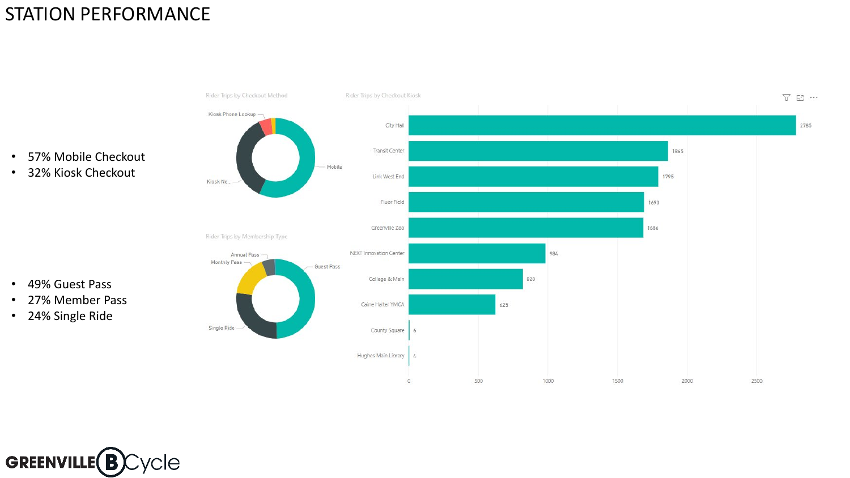- 57% Mobile Checkout
- 32% Kiosk Checkout

- 49% Guest Pass
- 27% Member Pass
- 24% Single Ride



# STATION PERFORMANCE

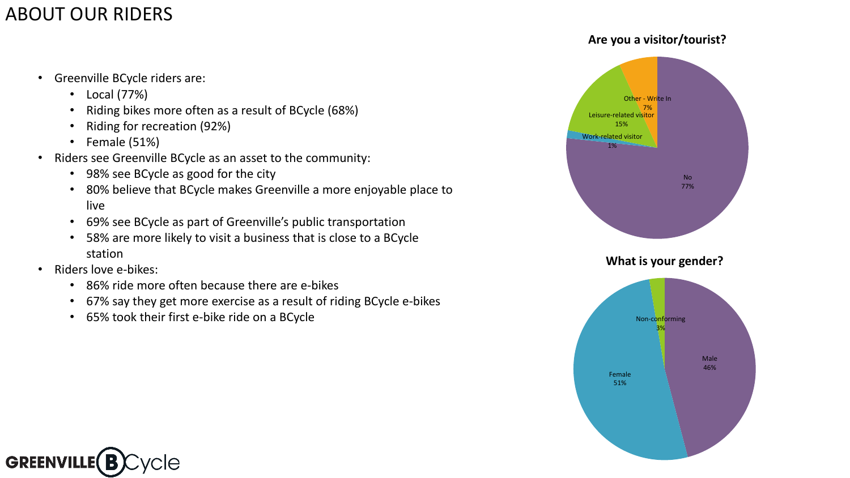- Greenville BCycle riders are:
	- Local (77%)
	- Riding bikes more often as a result of BCycle (68%)
	- Riding for recreation (92%)
	- Female (51%)
- Riders see Greenville BCycle as an asset to the community:
	- 98% see BCycle as good for the city
	- 80% believe that BCycle makes Greenville a more enjoyable place to live
	- 69% see BCycle as part of Greenville's public transportation
	- 58% are more likely to visit a business that is close to a BCycle station
- Riders love e-bikes:
	- 86% ride more often because there are e-bikes
	- 67% say they get more exercise as a result of riding BCycle e-bikes
	- 65% took their first e-bike ride on a BCycle

# ABOUT OUR RIDERS



## **Are you a visitor/tourist?**



Female 51%



Non-conforming 3%

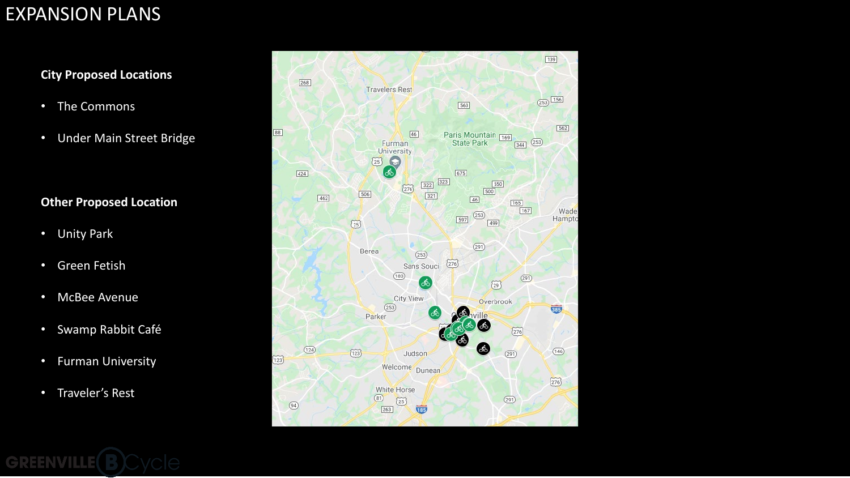## **City Proposed Locations**

- The Commons
- Under Main Street Bridge

## **Other Proposed Location**

- Unity Park
- Green Fetish
- McBee Avenue
- Swamp Rabbit Café
- Furman University
- Traveler's Rest



# EXPANSION PLANS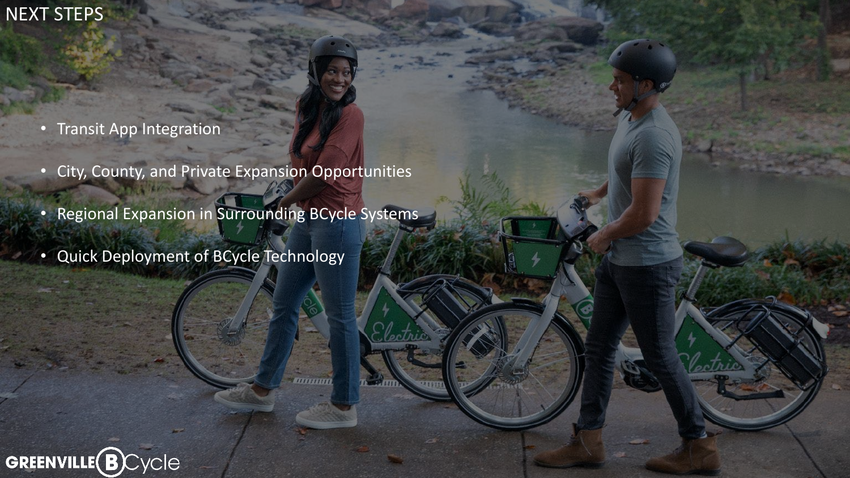- Transit App Integration
- City, County, and Private Expansion Opportunities
- Regional Expansion in Surrounding BCycle Systems

minimi

1315

• Quick Deployment of BCycle Technology





# NEXT STEPS